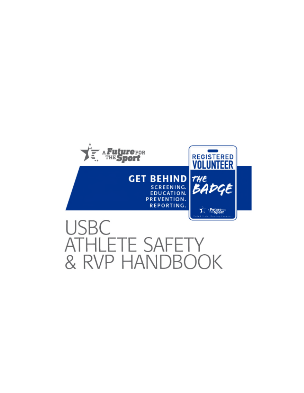

# USBC ATHLETE SAFETY & RVP HANDBOOK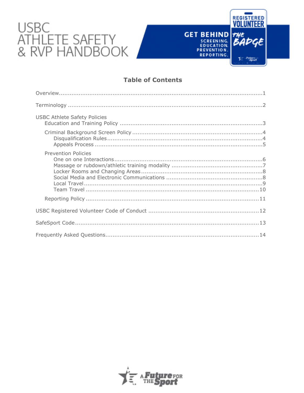# USBC<br>ATHLETE SAFETY<br>& RVP HANDBOOK

# **Table of Contents**

REGISTERED

BADGE

**Tree Palarent** 

**GET BEHIND 7**<br>
SCREENING<br>
EDUCATION.<br>
PREVENTION.

REPORTING.

| <b>USBC Athlete Safety Policies</b> |
|-------------------------------------|
|                                     |
| <b>Prevention Policies</b>          |
|                                     |
|                                     |
|                                     |

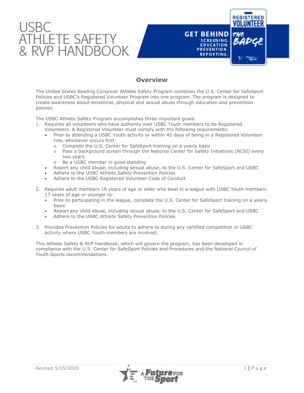

# **Overview**

The United States Bowling Congress' Athlete Safety Program combines the U.S. Center for SafeSport Policies and USBC's Registered Volunteer Program into one program. The program is designed to create awareness about emotional, physical and sexual abuse through education and prevention policies.

The USBC Athlete Safety Program accomplishes three important goals:

- 1. Requires all volunteers who have authority over USBC Youth members to be Registered Volunteers. A Registered Volunteer must comply with the following requirements:
	- Prior to attending a USBC Youth activity or within 45 days of being in a Registered Volunteer role, whichever occurs first:
		- o Complete the U.S. Center for SafeSport training on a yearly basis
		- o Pass a background screen through the National Center for Safety Initiatives (NCSI) every two years
		- o Be a USBC member in good standing
	- Report any child abuse, including sexual abuse, to the U.S. Center for SafeSport and USBC
	- Adhere to the USBC Athlete Safety Prevention Policies
	- Adhere to the USBC Registered Volunteer Code of Conduct
- 2. Requires adult members 18 years of age or older who bowl in a league with USBC Youth members 17 years of age or younger to:
	- Prior to participating in the league, complete the U.S. Center for SafeSport training on a yearly basis
	- Report any child abuse, including sexual abuse, to the U.S. Center for SafeSport and USBC
	- Adhere to the USBC Athlete Safety Prevention Policies
- 3. Provides Prevention Policies for adults to adhere to during any certified competition or USBC activity where USBC Youth members are involved.

This Athlete Safety & RVP Handbook, which will govern the program, has been developed in compliance with the U.S. Center for SafeSport Policies and Procedures and the National Council of Youth Sports recommendations.



**REGISTERED**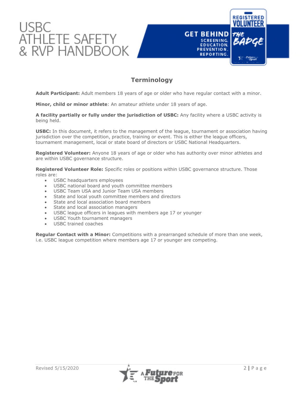



# **Terminology**

**Adult Participant:** Adult members 18 years of age or older who have regular contact with a minor.

**Minor, child or minor athlete**: An amateur athlete under 18 years of age.

**A facility partially or fully under the jurisdiction of USBC:** Any facility where a USBC activity is being held.

**USBC:** In this document, it refers to the management of the league, tournament or association having jurisdiction over the competition, practice, training or event. This is either the league officers, tournament management, local or state board of directors or USBC National Headquarters.

**Registered Volunteer:** Anyone 18 years of age or older who has authority over minor athletes and are within USBC governance structure.

**Registered Volunteer Role:** Specific roles or positions within USBC governance structure. Those roles are:

- USBC headquarters employees
- USBC national board and youth committee members
- USBC Team USA and Junior Team USA members
- State and local youth committee members and directors
- State and local association board members
- State and local association managers
- USBC league officers in leagues with members age 17 or younger
- USBC Youth tournament managers
- USBC trained coaches

**Regular Contact with a Minor:** Competitions with a prearranged schedule of more than one week, i.e. USBC league competition where members age 17 or younger are competing.

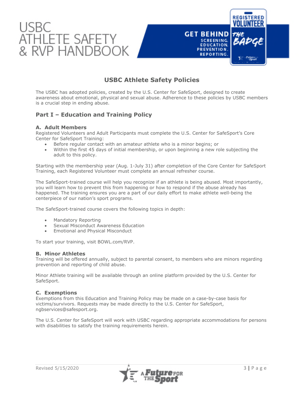



# **USBC Athlete Safety Policies**

The USBC has adopted policies, created by the U.S. Center for SafeSport, designed to create awareness about emotional, physical and sexual abuse. Adherence to these policies by USBC members is a crucial step in ending abuse.

# **Part I – Education and Training Policy**

#### **A. Adult Members**

Registered Volunteers and Adult Participants must complete the U.S. Center for SafeSport's Core Center for SafeSport Training:

- Before regular contact with an amateur athlete who is a minor begins; or
- Within the first 45 days of initial membership, or upon beginning a new role subjecting the adult to this policy.

Starting with the membership year (Aug. 1-July 31) after completion of the Core Center for SafeSport Training, each Registered Volunteer must complete an annual refresher course.

The SafeSport-trained course will help you recognize if an athlete is being abused. Most importantly, you will learn how to prevent this from happening or how to respond if the abuse already has happened. The training ensures you are a part of our daily effort to make athlete well-being the centerpiece of our nation's sport programs.

The SafeSport-trained course covers the following topics in depth:

- Mandatory Reporting
- Sexual Misconduct Awareness Education
- Emotional and Physical Misconduct

To start your training, visit BOWL.com/RVP.

#### **B. Minor Athletes**

Training will be offered annually, subject to parental consent, to members who are minors regarding prevention and reporting of child abuse.

Minor Athlete training will be available through an online platform provided by the U.S. Center for SafeSport.

#### **C. Exemptions**

Exemptions from this Education and Training Policy may be made on a case-by-case basis for victims/survivors. Requests may be made directly to the U.S. Center for SafeSport, [ngbservices@safesport.org](mailto:training@safesport.org).

The U.S. Center for SafeSport will work with USBC regarding appropriate accommodations for persons with disabilities to satisfy the training requirements herein.

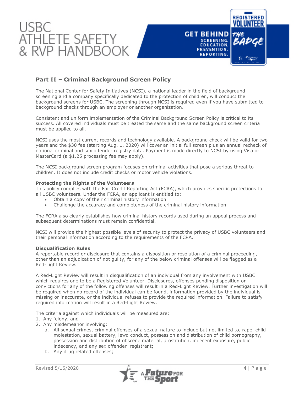

# **Part II – Criminal Background Screen Policy**

The National Center for Safety Initiatives (NCSI), a national leader in the field of background screening and a company specifically dedicated to the protection of children, will conduct the background screens for USBC. The screening through NCSI is required even if you have submitted to background checks through an employer or another organization.

Consistent and uniform implementation of the Criminal Background Screen Policy is critical to its success. All covered individuals must be treated the same and the same background screen criteria must be applied to all.

NCSI uses the most current records and technology available. A background check will be valid for two years and the \$30 fee (starting Aug. 1, 2020) will cover an initial full screen plus an annual recheck of national criminal and sex offender registry data. Payment is made directly to NCSI by using Visa or MasterCard (a \$1.25 processing fee may apply).

The NCSI background screen program focuses on criminal activities that pose a serious threat to children. It does not include credit checks or motor vehicle violations.

#### **Protecting the Rights of the Volunteers**

This policy complies with the Fair Credit Reporting Act (FCRA), which provides specific protections to all USBC volunteers. Under the FCRA, an applicant is entitled to:

- Obtain a copy of their criminal history information
- Challenge the accuracy and completeness of the criminal history information

The FCRA also clearly establishes how criminal history records used during an appeal process and subsequent determinations must remain confidential.

NCSI will provide the highest possible levels of security to protect the privacy of USBC volunteers and their personal information according to the requirements of the FCRA.

#### **Disqualification Rules**

A reportable record or disclosure that contains a disposition or resolution of a criminal proceeding, other than an adjudication of not guilty, for any of the below criminal offenses will be flagged as a Red-Light Review.

A Red-Light Review will result in disqualification of an individual from any involvement with USBC which requires one to be a Registered Volunteer. Disclosures, offenses pending disposition or convictions for any of the following offenses will result in a Red-Light Review. Further investigation will be required when no record of the individual can be found, information provided by the individual is missing or inaccurate, or the individual refuses to provide the required information. Failure to satisfy required information will result in a Red-Light Review.

The criteria against which individuals will be measured are:

1. Any felony, and

- 2. Any misdemeanor involving:
	- a. All sexual crimes, criminal offenses of a sexual nature to include but not limited to, rape, child molestation, sexual battery, lewd conduct, possession and distribution of child pornography, possession and distribution of obscene material, prostitution, indecent exposure, public indecency, and any sex offender registrant;
	- b. Any drug related offenses;

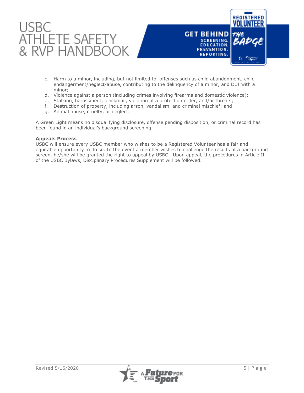



- c. Harm to a minor, including, but not limited to, offenses such as child abandonment, child endangerment/neglect/abuse, contributing to the delinquency of a minor, and DUI with a minor;
- d. Violence against a person (including crimes involving firearms and domestic violence);
- e. Stalking, harassment, blackmail, violation of a protection order, and/or threats;
- f. Destruction of property, including arson, vandalism, and criminal mischief; and
- g. Animal abuse, cruelty, or neglect.

A Green Light means no disqualifying disclosure, offense pending disposition, or criminal record has been found in an individual's background screening.

#### **Appeals Process**

USBC will ensure every USBC member who wishes to be a Registered Volunteer has a fair and equitable opportunity to do so. In the event a member wishes to challenge the results of a background screen, he/she will be granted the right to appeal by USBC. Upon appeal, the procedures in Article II of the USBC Bylaws, Disciplinary Procedures Supplement will be followed.

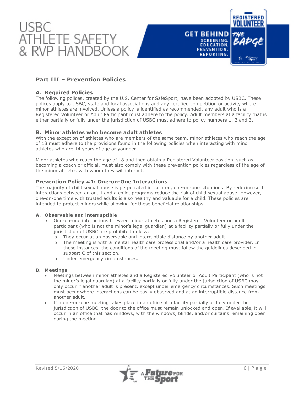



# **Part III – Prevention Policies**

#### **A. Required Policies**

The following polices, created by the U.S. Center for SafeSport, have been adopted by USBC. These polices apply to USBC, state and local associations and any certified competition or activity where minor athletes are involved. Unless a policy is identified as recommended, any adult who is a Registered Volunteer or Adult Participant must adhere to the policy. Adult members at a facility that is either partially or fully under the jurisdiction of USBC must adhere to policy numbers 1, 2 and 3.

#### **B. Minor athletes who become adult athletes**

With the exception of athletes who are members of the same team, minor athletes who reach the age of 18 must adhere to the provisions found in the following policies when interacting with minor athletes who are 14 years of age or younger.

Minor athletes who reach the age of 18 and then obtain a Registered Volunteer position, such as becoming a coach or official, must also comply with these prevention policies regardless of the age of the minor athletes with whom they will interact.

#### **Prevention Policy #1: One-on-One Interactions**

The majority of child sexual abuse is perpetrated in isolated, one-on-one situations. By reducing such interactions between an adult and a child, programs reduce the risk of child sexual abuse. However, one-on-one time with trusted adults is also healthy and valuable for a child. These policies are intended to protect minors while allowing for these beneficial relationships.

#### **A. Observable and interruptible**

- One-on-one interactions between minor athletes and a Registered Volunteer or adult participant (who is not the minor's legal guardian) at a facility partially or fully under the jurisdiction of USBC are prohibited unless:
	- o They occur at an observable and interruptible distance by another adult.
	- o The meeting is with a mental health care professional and/or a health care provider. In these instances, the conditions of the meeting must follow the guidelines described in subpart C of this section.
	- o Under emergency circumstances.

#### **B. Meetings**

- Meetings between minor athletes and a Registered Volunteer or Adult Participant (who is not the minor's legal guardian) at a facility partially or fully under the jurisdiction of USBC may only occur if another adult is present, except under emergency circumstances. Such meetings must occur where interactions can be easily observed and at an interruptible distance from another adult.
- If a one-on-one meeting takes place in an office at a facility partially or fully under the jurisdiction of USBC, the door to the office must remain unlocked and open. If available, it will occur in an office that has windows, with the windows, blinds, and/or curtains remaining open during the meeting.

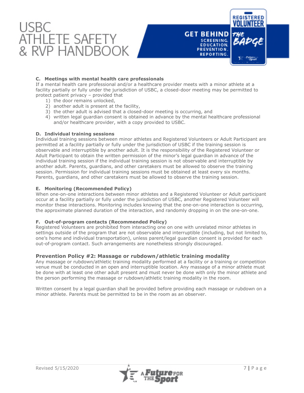



#### **C. Meetings with mental health care professionals**

If a mental health care professional and/or a healthcare provider meets with a minor athlete at a facility partially or fully under the jurisdiction of USBC, a closed-door meeting may be permitted to protect patient privacy – provided that

- 1) the door remains unlocked,
- 2) another adult is present at the facility,
- 3) the other adult is advised that a closed-door meeting is occurring, and
- 4) written legal guardian consent is obtained in advance by the mental healthcare professional and/or healthcare provider, with a copy provided to USBC.

#### **D. Individual training sessions**

Individual training sessions between minor athletes and Registered Volunteers or Adult Participant are permitted at a facility partially or fully under the jurisdiction of USBC if the training session is observable and interruptible by another adult. It is the responsibility of the Registered Volunteer or Adult Participant to obtain the written permission of the minor's legal guardian in advance of the individual training session if the individual training session is not observable and interruptible by another adult. Parents, guardians, and other caretakers must be allowed to observe the training session. Permission for individual training sessions must be obtained at least every six months. Parents, guardians, and other caretakers must be allowed to observe the training session.

#### **E. Monitoring (Recommended Policy)**

When one-on-one interactions between minor athletes and a Registered Volunteer or Adult participant occur at a facility partially or fully under the jurisdiction of USBC, another Registered Volunteer will monitor these interactions. Monitoring includes knowing that the one-on-one interaction is occurring, the approximate planned duration of the interaction, and randomly dropping in on the one-on-one.

#### **F. Out-of-program contacts (Recommended Policy)**

Registered Volunteers are prohibited from interacting one on one with unrelated minor athletes in settings outside of the program that are not observable and interruptible (including, but not limited to, one's home and individual transportation), unless parent/legal guardian consent is provided for each out-of-program contact. Such arrangements are nonetheless strongly discouraged.

#### **Prevention Policy #2: Massage or rubdown/athletic training modality**

Any massage or rubdown/athletic training modality performed at a facility or a training or competition venue must be conducted in an open and interruptible location. Any massage of a minor athlete must be done with at least one other adult present and must never be done with only the minor athlete and the person performing the massage or rubdown/athletic training modality in the room.

Written consent by a legal guardian shall be provided before providing each massage or rubdown on a minor athlete. Parents must be permitted to be in the room as an observer.

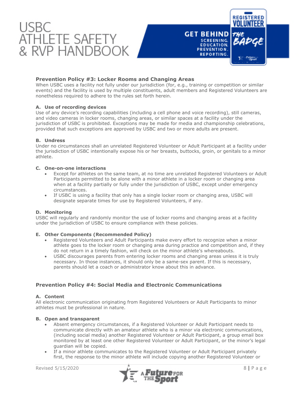

#### **Prevention Policy #3: Locker Rooms and Changing Areas**

When USBC uses a facility not fully under our jurisdiction (for, e.q., training or competition or similar events) and the facility is used by multiple constituents, adult members and Registered Volunteers are nonetheless required to adhere to the rules set forth herein.

#### **A. Use of recording devices**

Use of any device's recording capabilities (including a cell phone and voice recording), still cameras, and video cameras in locker rooms, changing areas, or similar spaces at a facility under the jurisdiction of USBC is prohibited. Exceptions may be made for media and championship celebrations, provided that such exceptions are approved by USBC and two or more adults are present.

#### **B. Undress**

Under no circumstances shall an unrelated Registered Volunteer or Adult Participant at a facility under the jurisdiction of USBC intentionally expose his or her breasts, buttocks, groin, or genitals to a minor athlete.

#### **C. One-on-one interactions**

- Except for athletes on the same team, at no time are unrelated Registered Volunteers or Adult Participants permitted to be alone with a minor athlete in a locker room or changing area when at a facility partially or fully under the jurisdiction of USBC, except under emergency circumstances.
- If USBC is using a facility that only has a single locker room or changing area, USBC will designate separate times for use by Registered Volunteers, if any.

#### **D. Monitoring**

USBC will regularly and randomly monitor the use of locker rooms and changing areas at a facility under the jurisdiction of USBC to ensure compliance with these policies.

#### **E. Other Components (Recommended Policy)**

- Registered Volunteers and Adult Participants make every effort to recognize when a minor athlete goes to the locker room or changing area during practice and competition and, if they do not return in a timely fashion, will check on the minor athlete's whereabouts.
- USBC discourages parents from entering locker rooms and changing areas unless it is truly necessary. In those instances, it should only be a same-sex parent. If this is necessary, parents should let a coach or administrator know about this in advance.

#### **Prevention Policy #4: Social Media and Electronic Communications**

#### **A. Content**

All electronic communication originating from Registered Volunteers or Adult Participants to minor athletes must be professional in nature.

#### **B. Open and transparent**

- Absent emergency circumstances, if a Registered Volunteer or Adult Participant needs to communicate directly with an amateur athlete who is a minor via electronic communications, (including social media) another Registered Volunteer or Adult Participant, a group email box monitored by at least one other Registered Volunteer or Adult Participant, or the minor's legal guardian will be copied.
- If a minor athlete communicates to the Registered Volunteer or Adult Participant privately first, the response to the minor athlete will include copying another Registered Volunteer or

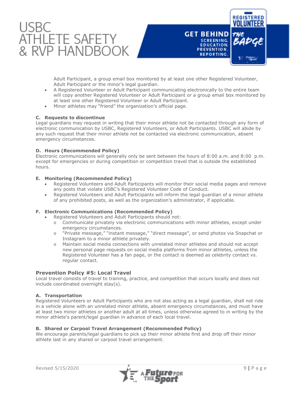



Adult Participant, a group email box monitored by at least one other Registered Volunteer, Adult Participant or the minor's legal guardian.

- A Registered Volunteer or Adult Participant communicating electronically to the entire team will copy another Registered Volunteer or Adult Participant or a group email box monitored by at least one other Registered Volunteer or Adult Participant.
- Minor athletes may "friend" the organization's official page.

#### **C. Requests to discontinue**

Legal guardians may request in writing that their minor athlete not be contacted through any form of electronic communication by USBC, Registered Volunteers, or Adult Participants. USBC will abide by any such request that their minor athlete not be contacted via electronic communication, absent emergency circumstances.

#### **D. Hours (Recommended Policy)**

Electronic communications will generally only be sent between the hours of 8:00 a.m. and 8:00 p.m. except for emergencies or during competition or competition travel that is outside the established hours.

#### **E. Monitoring (Recommended Policy)**

- Registered Volunteers and Adult Participants will monitor their social media pages and remove any posts that violate USBC's Registered Volunteer Code of Conduct.
- Registered Volunteers and Adult Participants will inform the legal guardian of a minor athlete of any prohibited posts, as well as the organization's administrator, if applicable.

#### **F. Electronic Communications (Recommended Policy)**

- Registered Volunteers and Adult Participants should not:
	- o Communicate privately via electronic communications with minor athletes, except under emergency circumstances.
	- o "Private message," "instant message," "direct message", or send photos via Snapchat or Instagram to a minor athlete privately.
	- o Maintain social media connections with unrelated minor athletes and should not accept new personal page requests on social media platforms from minor athletes, unless the Registered Volunteer has a fan page, or the contact is deemed as celebrity contact vs. regular contact.

#### **Prevention Policy #5: Local Travel**

Local travel consists of travel to training, practice, and competition that occurs locally and does not include coordinated overnight stay(s).

#### **A. Transportation**

Registered Volunteers or Adult Participants who are not also acting as a legal guardian, shall not ride in a vehicle alone with an unrelated minor athlete, absent emergency circumstances, and must have at least two minor athletes or another adult at all times, unless otherwise agreed to in writing by the minor athlete's parent/legal guardian in advance of each local travel.

#### **B. Shared or Carpool Travel Arrangement (Recommended Policy)**

We encourage parents/legal guardians to pick up their minor athlete first and drop off their minor athlete last in any shared or carpool travel arrangement.

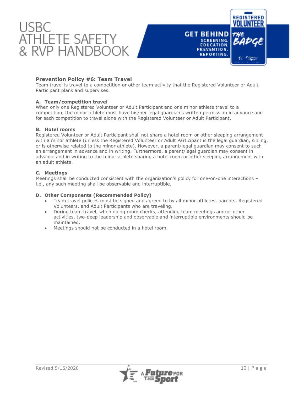



#### **Prevention Policy #6: Team Travel**

Team travel is travel to a competition or other team activity that the Registered Volunteer or Adult Participant plans and supervises.

#### **A. Team/competition travel**

When only one Registered Volunteer or Adult Participant and one minor athlete travel to a competition, the minor athlete must have his/her legal guardian's written permission in advance and for each competition to travel alone with the Registered Volunteer or Adult Participant.

#### **B. Hotel rooms**

Registered Volunteer or Adult Participant shall not share a hotel room or other sleeping arrangement with a minor athlete (unless the Registered Volunteer or Adult Participant is the legal guardian, sibling, or is otherwise related to the minor athlete). However, a parent/legal guardian may consent to such an arrangement in advance and in writing. Furthermore, a parent/legal guardian may consent in advance and in writing to the minor athlete sharing a hotel room or other sleeping arrangement with an adult athlete.

#### **C. Meetings**

Meetings shall be conducted consistent with the organization's policy for one-on-one interactions – i.e., any such meeting shall be observable and interruptible.

#### **D. Other Components (Recommended Policy)**

- Team travel policies must be signed and agreed to by all minor athletes, parents, Registered Volunteers, and Adult Participants who are traveling.
- During team travel, when doing room checks, attending team meetings and/or other activities, two-deep leadership and observable and interruptible environments should be maintained.
- Meetings should not be conducted in a hotel room.

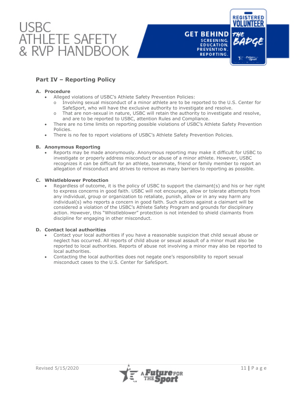



# **Part IV – Reporting Policy**

#### **A. Procedure**

- Alleged violations of USBC's Athlete Safety Prevention Policies:
	- o Involving sexual misconduct of a minor athlete are to be reported to the U.S. Center for SafeSport, who will have the exclusive authority to investigate and resolve.
	- o That are non-sexual in nature, USBC will retain the authority to investigate and resolve, and are to be reported to USBC, attention Rules and Compliance.
- There are no time limits on reporting possible violations of USBC's Athlete Safety Prevention Policies.
- There is no fee to report violations of USBC's Athlete Safety Prevention Policies.

#### **B. Anonymous Reporting**

 Reports may be made anonymously. Anonymous reporting may make it difficult for USBC to investigate or properly address misconduct or abuse of a minor athlete. However, USBC recognizes it can be difficult for an athlete, teammate, friend or family member to report an allegation of misconduct and strives to remove as many barriers to reporting as possible.

#### **C. Whistleblower Protection**

 Regardless of outcome, it is the policy of USBC to support the claimant(s) and his or her right to express concerns in good faith. USBC will not encourage, allow or tolerate attempts from any individual, group or organization to retaliate, punish, allow or in any way harm any individual(s) who reports a concern in good faith. Such actions against a claimant will be considered a violation of the USBC's Athlete Safety Program and grounds for disciplinary action. However, this "Whistleblower" protection is not intended to shield claimants from discipline for engaging in other misconduct.

#### **D. [Contact local authorities](https://www.childwelfare.gov/topics/responding/reporting/how/)**

- Contact your local authorities if you have a reasonable suspicion that child sexual abuse or neglect has occurred. All reports of child abuse or sexual assault of a minor must also be reported to local authorities. Reports of abuse not involving a minor may also be reported to local authorities.
- Contacting the local authorities does not negate one's responsibility to report sexual misconduct cases to the U.S. Center for SafeSport.

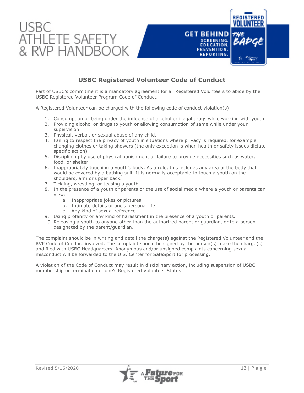



# **USBC Registered Volunteer Code of Conduct**

Part of USBC's commitment is a mandatory agreement for all Registered Volunteers to abide by the USBC Registered Volunteer Program Code of Conduct.

A Registered Volunteer can be charged with the following code of conduct violation(s):

- 1. Consumption or being under the influence of alcohol or illegal drugs while working with youth.
- 2. Providing alcohol or drugs to youth or allowing consumption of same while under your supervision.
- 3. Physical, verbal, or sexual abuse of any child.
- 4. Failing to respect the privacy of youth in situations where privacy is required, for example changing clothes or taking showers (the only exception is when health or safety issues dictate specific action).
- 5. Disciplining by use of physical punishment or failure to provide necessities such as water, food, or shelter.
- 6. Inappropriately touching a youth's body. As a rule, this includes any area of the body that would be covered by a bathing suit. It is normally acceptable to touch a youth on the shoulders, arm or upper back.
- 7. Tickling, wrestling, or teasing a youth.
- 8. In the presence of a youth or parents or the use of social media where a youth or parents can view:
	- a. Inappropriate jokes or pictures
	- b. Intimate details of one's personal life
	- c. Any kind of sexual reference
- 9. Using profanity or any kind of harassment in the presence of a youth or parents.
- 10. Releasing a youth to anyone other than the authorized parent or guardian, or to a person designated by the parent/guardian.

The complaint should be in writing and detail the charge(s) against the Registered Volunteer and the RVP Code of Conduct involved. The complaint should be signed by the person(s) make the charge(s) and filed with USBC Headquarters. Anonymous and/or unsigned complaints concerning sexual misconduct will be forwarded to the U.S. Center for SafeSport for processing.

A violation of the Code of Conduct may result in disciplinary action, including suspension of USBC membership or termination of one's Registered Volunteer Status.

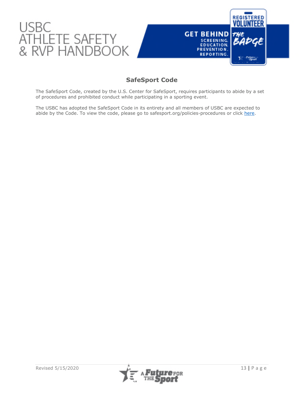

# **SafeSport Code**

The SafeSport Code, created by the U.S. Center for SafeSport, requires participants to abide by a set of procedures and prohibited conduct while participating in a sporting event.

The USBC has adopted the SafeSport Code in its entirety and all members of USBC are expected to abide by the Code. To view the code, please go to safesport.org/policies-procedures or click [here.](https://safesport.org/policies-procedures)



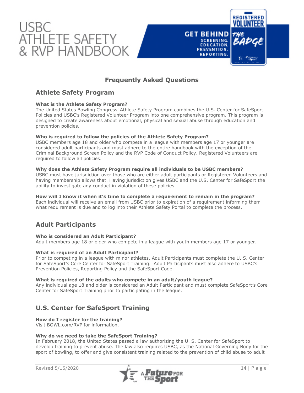



# **Athlete Safety Program**

#### **What is the Athlete Safety Program?**

The United States Bowling Congress' Athlete Safety Program combines the U.S. Center for SafeSport Policies and USBC's Registered Volunteer Program into one comprehensive program. This program is designed to create awareness about emotional, physical and sexual abuse through education and prevention policies.

#### **Who is required to follow the policies of the Athlete Safety Program?**

USBC members age 18 and older who compete in a league with members age 17 or younger are considered adult participants and must adhere to the entire handbook with the exception of the Criminal Background Screen Policy and the RVP Code of Conduct Policy. Registered Volunteers are required to follow all policies.

#### **Why does the Athlete Safety Program require all individuals to be USBC members?**

USBC must have jurisdiction over those who are either adult participants or Registered Volunteers and having membership allows that. Having jurisdiction gives USBC and the U.S. Center for SafeSport the ability to investigate any conduct in violation of these policies.

#### **How will I know it when it's time to complete a requirement to remain in the program?**

Each individual will receive an email from USBC prior to expiration of a requirement informing them what requirement is due and to log into their Athlete Safety Portal to complete the process.

# **Adult Participants**

#### **Who is considered an Adult Participant?**

Adult members age 18 or older who compete in a league with youth members age 17 or younger.

#### **What is required of an Adult Participant?**

Prior to competing in a league with minor athletes, Adult Participants must complete the U. S. Center for SafeSport's Core Center for SafeSport Training. Adult Participants must also adhere to USBC's Prevention Policies, Reporting Policy and the SafeSport Code.

#### **What is required of the adults who compete in an adult/youth league?**

Any individual age 18 and older is considered an Adult Participant and must complete SafeSport's Core Center for SafeSport Training prior to participating in the league.

# **U.S. Center for SafeSport Training**

#### **How do I register for the training?**

Visit BOWL.com/RVP for information.

#### **Why do we need to take the SafeSport Training?**

In February 2018, the United States passed a law authorizing the U. S. Center for SafeSport to develop training to prevent abuse. The law also requires USBC, as the National Governing Body for the sport of bowling, to offer and give consistent training related to the prevention of child abuse to adult



**REGISTERED** 

**GET BEHIND** 

SCREENING. EDUCATION.

PREVENTION. REPORTING.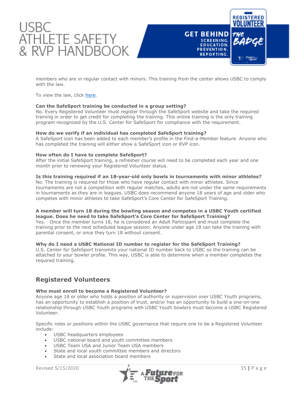



members who are in regular contact with minors. This training from the center allows USBC to comply with the law.

To view the law, click [here](https://www.congress.gov/bill/115th-congress/senate-bill/534).

#### **Can the SafeSport training be conducted in a group setting?**

No. Every Registered Volunteer must register through the SafeSport website and take the required training in order to get credit for completing the training. This online training is the only training program recognized by the U.S. Center for SafeSport for compliance with the requirement.

#### **How do we verify if an individual has completed SafeSport training?**

A SafeSport icon has been added to each member's profile in the Find-a-Member feature. Anyone who has completed the training will either show a SafeSport icon or RVP icon.

#### **How often do I have to complete SafeSport?**

After the initial SafeSport training, a refresher course will need to be completed each year and one month prior to renewing your Registered Volunteer status.

#### **Is this training required if an 18-year-old only bowls in tournaments with minor athletes?**

No. The training is required for those who have regular contact with minor athletes. Since tournaments are not a competition with regular matches, adults are not under the same requirements in tournaments as they are in leagues. USBC does recommend anyone 18 years of age and older who competes with minor athletes to take SafeSport's Core Center for SafeSport Training.

#### **A member will turn 18 during the bowling season and competes in a USBC Youth certified league. Does he need to take SafeSport's Core Center for SafeSport Training?**

Yes. Once the member turns 18, he is considered an Adult Participant and must complete the training prior to the next scheduled league session. Anyone under age 18 can take the training with parental consent, or once they turn 18 without consent.

#### **Why do I need a USBC National ID number to register for the SafeSport Training?**

U.S. Center for SafeSport transmits your national ID number back to USBC so the training can be attached to your bowler profile. This way, USBC is able to determine when a member completes the required training.

# **Registered Volunteers**

#### **Who must enroll to become a Registered Volunteer?**

Anyone age 18 or older who holds a position of authority or supervision over USBC Youth programs, has an opportunity to establish a position of trust, and/or has an opportunity to build a one-on-one relationship through USBC Youth programs with USBC Youth bowlers must become a USBC Registered Volunteer.

Specific roles or positions within the USBC governance that require one to be a Registered Volunteer include:

- USBC headquarters employees
- USBC national board and youth committee members
- USBC Team USA and Junior Team USA members
- State and local youth committee members and directors
- State and local association board members

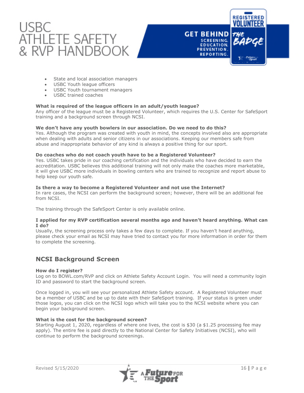

#### • State and local association managers

- USBC Youth league officers
- USBC Youth tournament managers
- USBC trained coaches

#### **What is required of the league officers in an adult/youth league?**

Any officer of the league must be a Registered Volunteer, which requires the U.S. Center for SafeSport training and a background screen through NCSI.

#### **We don't have any youth bowlers in our association. Do we need to do this?**

Yes. Although the program was created with youth in mind, the concepts involved also are appropriate when dealing with adults and senior citizens in our associations. Keeping our members safe from abuse and inappropriate behavior of any kind is always a positive thing for our sport.

#### **Do coaches who do not coach youth have to be a Registered Volunteer?**

Yes. USBC takes pride in our coaching certification and the individuals who have decided to earn the accreditation. USBC believes this additional training will not only make the coaches more marketable, it will give USBC more individuals in bowling centers who are trained to recognize and report abuse to help keep our youth safe.

#### **Is there a way to become a Registered Volunteer and not use the Internet?**

In rare cases, the NCSI can perform the background screen; however, there will be an additional fee from NCSI.

The training through the SafeSport Center is only available online.

#### **I applied for my RVP certification several months ago and haven't heard anything. What can I do?**

Usually, the screening process only takes a few days to complete. If you haven't heard anything, please check your email as NCSI may have tried to contact you for more information in order for them to complete the screening.

# **NCSI Background Screen**

#### **How do I register?**

Log on to BOWL.com/RVP and click on Athlete Safety Account Login. You will need a community login ID and password to start the background screen.

Once logged in, you will see your personalized Athlete Safety account. A Registered Volunteer must be a member of USBC and be up to date with their SafeSport training. If your status is green under those logos, you can click on the NCSI logo which will take you to the NCSI website where you can begin your background screen.

#### **What is the cost for the background screen?**

Starting August 1, 2020, regardless of where one lives, the cost is \$30 (a \$1.25 processing fee may apply). The entire fee is paid directly to the National Center for Safety Initiatives (NCSI), who will continue to perform the background screenings.



**REGISTERED** 

**Futures** 

**GET BEHIND** 

SCREENING. EDUCATION.

PREVENTION. REPORTING.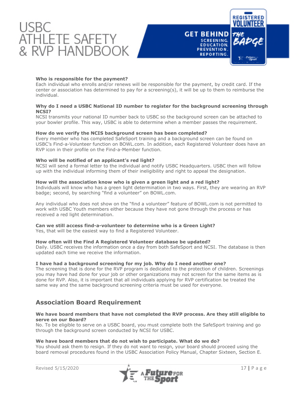



#### **Who is responsible for the payment?**

Each individual who enrolls and/or renews will be responsible for the payment, by credit card. If the center or association has determined to pay for a screening(s), it will be up to them to reimburse the individual.

#### **Why do I need a USBC National ID number to register for the background screening through NCSI?**

NCSI transmits your national ID number back to USBC so the background screen can be attached to your bowler profile. This way, USBC is able to determine when a member passes the requirement.

#### **How do we verify the NCIS background screen has been completed?**

Every member who has completed SafeSport training and a background screen can be found on USBC's Find-a-Volunteer function on BOWL.com. In addition, each Registered Volunteer does have an RVP icon in their profile on the Find-a-Member function.

#### **Who will be notified of an applicant's red light?**

NCSI will send a formal letter to the individual and notify USBC Headquarters. USBC then will follow up with the individual informing them of their ineligibility and right to appeal the designation.

#### **How will the association know who is given a green light and a red light?**

Individuals will know who has a green light determination in two ways. First, they are wearing an RVP badge; second, by searching "find a volunteer" on BOWL.com.

Any individual who does not show on the "find a volunteer" feature of BOWL.com is not permitted to work with USBC Youth members either because they have not gone through the process or has received a red light determination.

#### **Can we still access find-a-volunteer to determine who is a Green Light?**

Yes, that will be the easiest way to find a Registered Volunteer.

#### **How often will the Find A Registered Volunteer database be updated?**

Daily. USBC receives the information once a day from both SafeSport and NCSI. The database is then updated each time we receive the information.

#### **I have had a background screening for my job. Why do I need another one?**

The screening that is done for the RVP program is dedicated to the protection of children. Screenings you may have had done for your job or other organizations may not screen for the same items as is done for RVP. Also, it is important that all individuals applying for RVP certification be treated the same way and the same background screening criteria must be used for everyone.

# **Association Board Requirement**

#### **We have board members that have not completed the RVP process. Are they still eligible to serve on our Board?**

No. To be eligible to serve on a USBC board, you must complete both the SafeSport training and go through the background screen conducted by NCSI for USBC.

#### **We have board members that do not wish to participate. What do we do?**

You should ask them to resign. If they do not want to resign, your board should proceed using the board removal procedures found in the USBC Association Policy Manual, Chapter Sixteen, Section E.